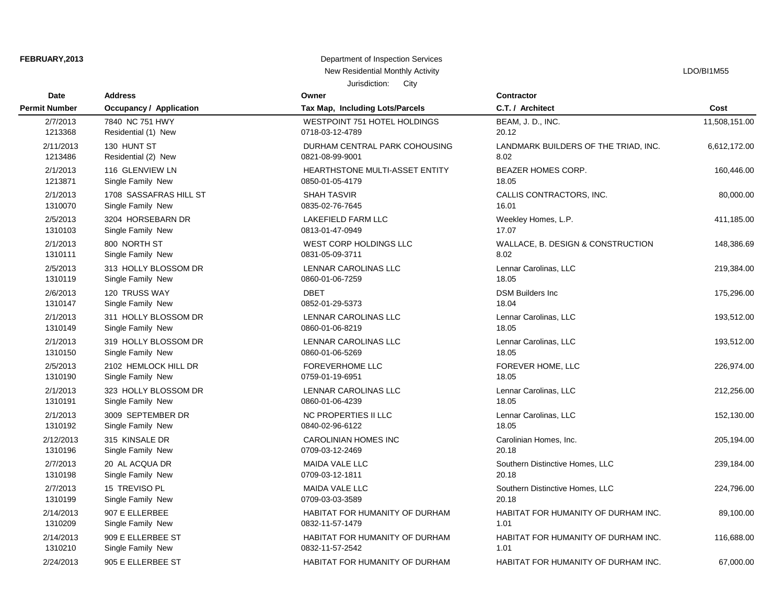# Jurisdiction: City **FEBRUARY, 2013** Department of Inspection Services New Residential Monthly Activity **LACTION** CONSERVITY ASSESSMENT RESIDENTS AND RESIDENTS ASSESSMENT RESIDENCE ASSESSMENT RESIDENCE ASSESSMENT RESIDENCE ASSESSMENT RESIDENCE ASSESSMENT RESIDENCE ASSESSMENT RESIDENCE ASSESSM

| <b>Date</b>          | <b>Address</b>                 | Owner                                 | <b>Contractor</b>                    |               |
|----------------------|--------------------------------|---------------------------------------|--------------------------------------|---------------|
| <b>Permit Number</b> | <b>Occupancy / Application</b> | Tax Map, Including Lots/Parcels       | C.T. / Architect                     | Cost          |
| 2/7/2013             | 7840 NC 751 HWY                | <b>WESTPOINT 751 HOTEL HOLDINGS</b>   | BEAM, J. D., INC.                    | 11,508,151.00 |
| 1213368              | Residential (1) New            | 0718-03-12-4789                       | 20.12                                |               |
| 2/11/2013            | 130 HUNT ST                    | DURHAM CENTRAL PARK COHOUSING         | LANDMARK BUILDERS OF THE TRIAD, INC. | 6,612,172.00  |
| 1213486              | Residential (2) New            | 0821-08-99-9001                       | 8.02                                 |               |
| 2/1/2013             | 116 GLENVIEW LN                | <b>HEARTHSTONE MULTI-ASSET ENTITY</b> | <b>BEAZER HOMES CORP.</b>            | 160,446.00    |
| 1213871              | Single Family New              | 0850-01-05-4179                       | 18.05                                |               |
| 2/1/2013             | 1708 SASSAFRAS HILL ST         | <b>SHAH TASVIR</b>                    | CALLIS CONTRACTORS, INC.             | 80,000.00     |
| 1310070              | Single Family New              | 0835-02-76-7645                       | 16.01                                |               |
| 2/5/2013             | 3204 HORSEBARN DR              | <b>LAKEFIELD FARM LLC</b>             | Weekley Homes, L.P.                  | 411,185.00    |
| 1310103              | Single Family New              | 0813-01-47-0949                       | 17.07                                |               |
| 2/1/2013             | 800 NORTH ST                   | WEST CORP HOLDINGS LLC                | WALLACE, B. DESIGN & CONSTRUCTION    | 148,386.69    |
| 1310111              | Single Family New              | 0831-05-09-3711                       | 8.02                                 |               |
| 2/5/2013             | 313 HOLLY BLOSSOM DR           | LENNAR CAROLINAS LLC                  | Lennar Carolinas, LLC                | 219,384.00    |
| 1310119              | Single Family New              | 0860-01-06-7259                       | 18.05                                |               |
| 2/6/2013             | 120 TRUSS WAY                  | <b>DBET</b>                           | <b>DSM Builders Inc</b>              | 175,296.00    |
| 1310147              | Single Family New              | 0852-01-29-5373                       | 18.04                                |               |
| 2/1/2013             | 311 HOLLY BLOSSOM DR           | <b>LENNAR CAROLINAS LLC</b>           | Lennar Carolinas, LLC                | 193,512.00    |
| 1310149              | Single Family New              | 0860-01-06-8219                       | 18.05                                |               |
| 2/1/2013             | 319 HOLLY BLOSSOM DR           | LENNAR CAROLINAS LLC                  | Lennar Carolinas, LLC                | 193,512.00    |
| 1310150              | Single Family New              | 0860-01-06-5269                       | 18.05                                |               |
| 2/5/2013             | 2102 HEMLOCK HILL DR           | <b>FOREVERHOME LLC</b>                | FOREVER HOME, LLC                    | 226,974.00    |
| 1310190              | Single Family New              | 0759-01-19-6951                       | 18.05                                |               |
| 2/1/2013             | 323 HOLLY BLOSSOM DR           | LENNAR CAROLINAS LLC                  | Lennar Carolinas, LLC                | 212,256.00    |
| 1310191              | Single Family New              | 0860-01-06-4239                       | 18.05                                |               |
| 2/1/2013             | 3009 SEPTEMBER DR              | NC PROPERTIES II LLC                  | Lennar Carolinas, LLC                | 152,130.00    |
| 1310192              | Single Family New              | 0840-02-96-6122                       | 18.05                                |               |
| 2/12/2013            | 315 KINSALE DR                 | <b>CAROLINIAN HOMES INC</b>           | Carolinian Homes, Inc.               | 205,194.00    |
| 1310196              | Single Family New              | 0709-03-12-2469                       | 20.18                                |               |
| 2/7/2013             | 20 AL ACQUA DR                 | <b>MAIDA VALE LLC</b>                 | Southern Distinctive Homes, LLC      | 239,184.00    |
| 1310198              | Single Family New              | 0709-03-12-1811                       | 20.18                                |               |
| 2/7/2013             | 15 TREVISO PL                  | <b>MAIDA VALE LLC</b>                 | Southern Distinctive Homes, LLC      | 224,796.00    |
| 1310199              | Single Family New              | 0709-03-03-3589                       | 20.18                                |               |
| 2/14/2013            | 907 E ELLERBEE                 | HABITAT FOR HUMANITY OF DURHAM        | HABITAT FOR HUMANITY OF DURHAM INC.  | 89,100.00     |
| 1310209              | Single Family New              | 0832-11-57-1479                       | 1.01                                 |               |
| 2/14/2013            | 909 E ELLERBEE ST              | HABITAT FOR HUMANITY OF DURHAM        | HABITAT FOR HUMANITY OF DURHAM INC.  | 116,688.00    |
| 1310210              | Single Family New              | 0832-11-57-2542                       | 1.01                                 |               |
| 2/24/2013            | 905 E ELLERBEE ST              | HABITAT FOR HUMANITY OF DURHAM        | HABITAT FOR HUMANITY OF DURHAM INC.  | 67,000.00     |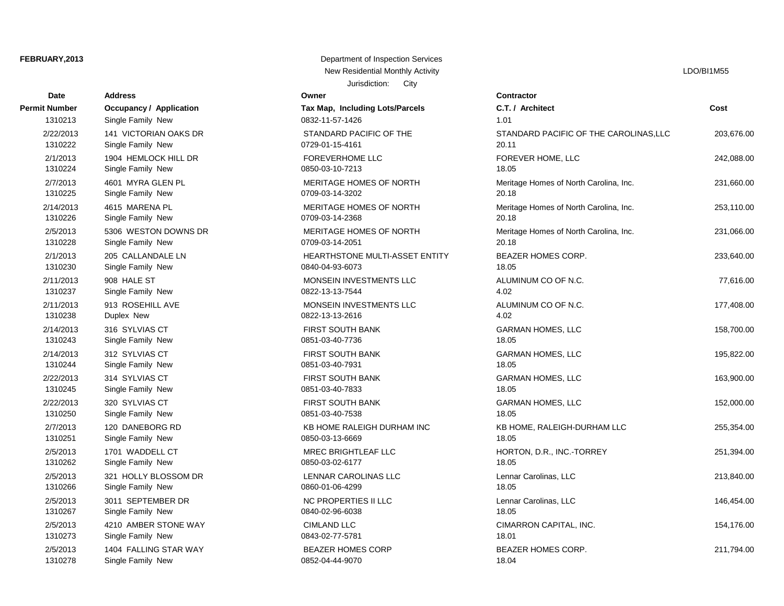| Date                 | <b>Address</b>          | Owner                           | Contractor                             |      |
|----------------------|-------------------------|---------------------------------|----------------------------------------|------|
| <b>Permit Number</b> | Occupancy / Application | Tax Map, Including Lots/Parcels | C.T. / Architect                       | Cost |
| 1310213              | Single Family New       | 0832-11-57-1426                 | 1.01                                   |      |
| 2/22/2013            | 141 VICTORIAN OAKS DR   | STANDARD PACIFIC OF THE         | STANDARD PACIFIC OF THE CAROLINAS, LLC | 203  |
| 1310222              | Single Family New       | 0729-01-15-4161                 | 20.11                                  |      |
| 2/1/2013             | 1904 HEMLOCK HILL DR    | <b>FOREVERHOME LLC</b>          | FOREVER HOME, LLC                      | 242  |
| 1310224              | Single Family New       | 0850-03-10-7213                 | 18.05                                  |      |
| 2/7/2013             | 4601 MYRA GLEN PL       | MERITAGE HOMES OF NORTH         | Meritage Homes of North Carolina, Inc. | 231  |
| 1310225              | Single Family New       | 0709-03-14-3202                 | 20.18                                  |      |
| 2/14/2013            | 4615 MARENA PL          | MERITAGE HOMES OF NORTH         | Meritage Homes of North Carolina, Inc. | 253  |
| 1310226              | Single Family New       | 0709-03-14-2368                 | 20.18                                  |      |
| 2/5/2013             | 5306 WESTON DOWNS DR    | MERITAGE HOMES OF NORTH         | Meritage Homes of North Carolina, Inc. | 231  |
| 1310228              | Single Family New       | 0709-03-14-2051                 | 20.18                                  |      |
| 2/1/2013             | 205 CALLANDALE LN       | HEARTHSTONE MULTI-ASSET ENTITY  | BEAZER HOMES CORP.                     | 233  |
| 1310230              | Single Family New       | 0840-04-93-6073                 | 18.05                                  |      |
| 2/11/2013            | 908 HALE ST             | MONSEIN INVESTMENTS LLC         | ALUMINUM CO OF N.C.                    | 77   |
| 1310237              | Single Family New       | 0822-13-13-7544                 | 4.02                                   |      |
| 2/11/2013            | 913 ROSEHILL AVE        | MONSEIN INVESTMENTS LLC         | ALUMINUM CO OF N.C.                    | 177  |
| 1310238              | Duplex New              | 0822-13-13-2616                 | 4.02                                   |      |
| 2/14/2013            | 316 SYLVIAS CT          | FIRST SOUTH BANK                | <b>GARMAN HOMES, LLC</b>               | 158  |
| 1310243              | Single Family New       | 0851-03-40-7736                 | 18.05                                  |      |
| 2/14/2013            | 312 SYLVIAS CT          | <b>FIRST SOUTH BANK</b>         | <b>GARMAN HOMES, LLC</b>               | 195  |
| 1310244              | Single Family New       | 0851-03-40-7931                 | 18.05                                  |      |
| 2/22/2013            | 314 SYLVIAS CT          | <b>FIRST SOUTH BANK</b>         | <b>GARMAN HOMES, LLC</b>               | 163  |
| 1310245              | Single Family New       | 0851-03-40-7833                 | 18.05                                  |      |
| 2/22/2013            | 320 SYLVIAS CT          | <b>FIRST SOUTH BANK</b>         | <b>GARMAN HOMES, LLC</b>               | 152  |
| 1310250              | Single Family New       | 0851-03-40-7538                 | 18.05                                  |      |
| 2/7/2013             | 120 DANEBORG RD         | KB HOME RALEIGH DURHAM INC      | KB HOME, RALEIGH-DURHAM LLC            | 255  |
| 1310251              | Single Family New       | 0850-03-13-6669                 | 18.05                                  |      |
| 2/5/2013             | 1701 WADDELL CT         | MREC BRIGHTLEAF LLC             | HORTON, D.R., INC.-TORREY              | 251  |
| 1310262              | Single Family New       | 0850-03-02-6177                 | 18.05                                  |      |
| 2/5/2013             | 321 HOLLY BLOSSOM DR    | LENNAR CAROLINAS LLC            | Lennar Carolinas, LLC                  | 213  |
| 1310266              | Single Family New       | 0860-01-06-4299                 | 18.05                                  |      |
| 2/5/2013             | 3011 SEPTEMBER DR       | NC PROPERTIES II LLC            | Lennar Carolinas, LLC                  | 146  |
| 1310267              | Single Family New       | 0840-02-96-6038                 | 18.05                                  |      |
| 2/5/2013             | 4210 AMBER STONE WAY    | <b>CIMLAND LLC</b>              | CIMARRON CAPITAL, INC.                 | 154  |
| 1310273              | Single Family New       | 0843-02-77-5781                 | 18.01                                  |      |
| 2/5/2013             | 1404 FALLING STAR WAY   | <b>BEAZER HOMES CORP</b>        | <b>BEAZER HOMES CORP.</b>              | 211  |
| 1210279              | Single Family Now       | 0252.04.44.0070                 | 1 Q O A                                |      |

Jurisdiction: City **FEBRUARY, 2013** Department of Inspection Services New Residential Monthly Activity **LACTION** CONSULTER THE RESIDENT OF THE RESIDENT OF THE RESIDENT OF THE RESIDENT OF THE RESIDENT OF THE RESIDENT OF THE RESIDENT OF THE RESIDENT OF THE RESIDENT OF THE RESIDENT OF THE RESID

| <b>Number</b> | Occupancy / Application | Tax Map, Including Lots/Parcels | <b>C.I./ Architect</b>                 | COST       |
|---------------|-------------------------|---------------------------------|----------------------------------------|------------|
| 1310213       | Single Family New       | 0832-11-57-1426                 | 1.01                                   |            |
| 2/22/2013     | 141 VICTORIAN OAKS DR   | STANDARD PACIFIC OF THE         | STANDARD PACIFIC OF THE CAROLINAS, LLC | 203,676.00 |
| 1310222       | Single Family New       | 0729-01-15-4161                 | 20.11                                  |            |
| 2/1/2013      | 1904 HEMLOCK HILL DR    | <b>FOREVERHOME LLC</b>          | FOREVER HOME, LLC                      | 242,088.00 |
| 1310224       | Single Family New       | 0850-03-10-7213                 | 18.05                                  |            |
| 2/7/2013      | 4601 MYRA GLEN PL       | <b>MERITAGE HOMES OF NORTH</b>  | Meritage Homes of North Carolina, Inc. | 231,660.00 |
| 1310225       | Single Family New       | 0709-03-14-3202                 | 20.18                                  |            |
| 2/14/2013     | 4615 MARENA PL          | MERITAGE HOMES OF NORTH         | Meritage Homes of North Carolina, Inc. | 253,110.00 |
| 1310226       | Single Family New       | 0709-03-14-2368                 | 20.18                                  |            |
| 2/5/2013      | 5306 WESTON DOWNS DR    | MERITAGE HOMES OF NORTH         | Meritage Homes of North Carolina, Inc. | 231,066.00 |
| 1310228       | Single Family New       | 0709-03-14-2051                 | 20.18                                  |            |
| 2/1/2013      | 205 CALLANDALE LN       | HEARTHSTONE MULTI-ASSET ENTITY  | BEAZER HOMES CORP.                     | 233,640.00 |
| 1310230       | Single Family New       | 0840-04-93-6073                 | 18.05                                  |            |
| 2/11/2013     | 908 HALE ST             | MONSEIN INVESTMENTS LLC         | ALUMINUM CO OF N.C.                    | 77,616.00  |
| 1310237       | Single Family New       | 0822-13-13-7544                 | 4.02                                   |            |
| 2/11/2013     | 913 ROSEHILL AVE        | MONSEIN INVESTMENTS LLC         | ALUMINUM CO OF N.C.                    | 177,408.00 |
| 1310238       | Duplex New              | 0822-13-13-2616                 | 4.02                                   |            |
| 2/14/2013     | 316 SYLVIAS CT          | <b>FIRST SOUTH BANK</b>         | <b>GARMAN HOMES, LLC</b>               | 158,700.00 |
| 1310243       | Single Family New       | 0851-03-40-7736                 | 18.05                                  |            |
| 2/14/2013     | 312 SYLVIAS CT          | <b>FIRST SOUTH BANK</b>         | <b>GARMAN HOMES, LLC</b>               | 195,822.00 |
| 1310244       | Single Family New       | 0851-03-40-7931                 | 18.05                                  |            |
| 2/22/2013     | 314 SYLVIAS CT          | <b>FIRST SOUTH BANK</b>         | <b>GARMAN HOMES, LLC</b>               | 163,900.00 |
| 1310245       | Single Family New       | 0851-03-40-7833                 | 18.05                                  |            |
| 2/22/2013     | 320 SYLVIAS CT          | <b>FIRST SOUTH BANK</b>         | <b>GARMAN HOMES, LLC</b>               | 152,000.00 |
| 1310250       | Single Family New       | 0851-03-40-7538                 | 18.05                                  |            |
| 2/7/2013      | 120 DANEBORG RD         | KB HOME RALEIGH DURHAM INC      | KB HOME, RALEIGH-DURHAM LLC            | 255,354.00 |
| 1310251       | Single Family New       | 0850-03-13-6669                 | 18.05                                  |            |
| 2/5/2013      | 1701 WADDELL CT         | <b>MREC BRIGHTLEAF LLC</b>      | HORTON, D.R., INC.-TORREY              | 251,394.00 |
| 1310262       | Single Family New       | 0850-03-02-6177                 | 18.05                                  |            |
| 2/5/2013      | 321 HOLLY BLOSSOM DR    | LENNAR CAROLINAS LLC            | Lennar Carolinas, LLC                  | 213,840.00 |
| 1310266       | Single Family New       | 0860-01-06-4299                 | 18.05                                  |            |
| 2/5/2013      | 3011 SEPTEMBER DR       | NC PROPERTIES II LLC            | Lennar Carolinas, LLC                  | 146,454.00 |
| 1310267       | Single Family New       | 0840-02-96-6038                 | 18.05                                  |            |
| 2/5/2013      | 4210 AMBER STONE WAY    | <b>CIMLAND LLC</b>              | CIMARRON CAPITAL, INC.                 | 154,176.00 |
| 1310273       | Single Family New       | 0843-02-77-5781                 | 18.01                                  |            |
| 2/5/2013      | 1404 FALLING STAR WAY   | <b>BEAZER HOMES CORP</b>        | <b>BEAZER HOMES CORP.</b>              | 211,794.00 |
| 1310278       | Single Family New       | 0852-04-44-9070                 | 18.04                                  |            |
|               |                         |                                 |                                        |            |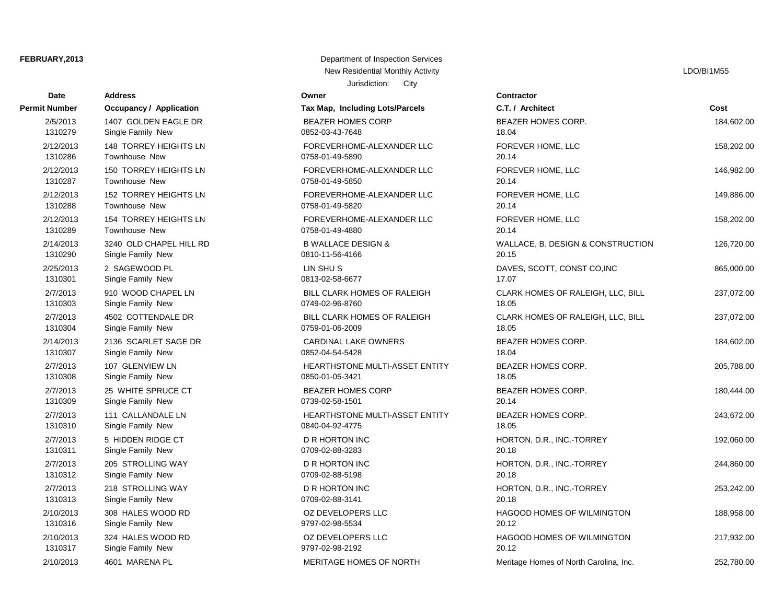| <b>Date</b>   | <b>Address</b>                 | Owner                                 | Contractor      |
|---------------|--------------------------------|---------------------------------------|-----------------|
| Permit Number | <b>Occupancy / Application</b> | Tax Map, Including Lots/Parcels       | C.T. / Arch     |
| 2/5/2013      | 1407 GOLDEN EAGLE DR           | <b>BEAZER HOMES CORP</b>              | <b>BEAZER H</b> |
| 1310279       | Single Family New              | 0852-03-43-7648                       | 18.04           |
| 2/12/2013     | <b>148 TORREY HEIGHTS LN</b>   | FOREVERHOME-ALEXANDER LLC             | <b>FOREVER</b>  |
| 1310286       | Townhouse New                  | 0758-01-49-5890                       | 20.14           |
| 2/12/2013     | 150 TORREY HEIGHTS LN          | FOREVERHOME-ALEXANDER LLC             | <b>FOREVER</b>  |
| 1310287       | <b>Townhouse New</b>           | 0758-01-49-5850                       | 20.14           |
| 2/12/2013     | <b>152 TORREY HEIGHTS LN</b>   | FOREVERHOME-ALEXANDER LLC             | <b>FOREVER</b>  |
| 1310288       | <b>Townhouse New</b>           | 0758-01-49-5820                       | 20.14           |
| 2/12/2013     | 154 TORREY HEIGHTS LN          | FOREVERHOME-ALEXANDER LLC             | <b>FOREVER</b>  |
| 1310289       | Townhouse New                  | 0758-01-49-4880                       | 20.14           |
| 2/14/2013     | 3240 OLD CHAPEL HILL RD        | <b>B WALLACE DESIGN &amp;</b>         | WALLACE,        |
| 1310290       | Single Family New              | 0810-11-56-4166                       | 20.15           |
| 2/25/2013     | 2 SAGEWOOD PL                  | LIN SHUS                              | DAVES, SO       |
| 1310301       | Single Family New              | 0813-02-58-6677                       | 17.07           |
| 2/7/2013      | 910 WOOD CHAPEL LN             | BILL CLARK HOMES OF RALEIGH           | <b>CLARK HO</b> |
| 1310303       | Single Family New              | 0749-02-96-8760                       | 18.05           |
| 2/7/2013      | 4502 COTTENDALE DR             | BILL CLARK HOMES OF RALEIGH           | <b>CLARK HO</b> |
| 1310304       | Single Family New              | 0759-01-06-2009                       | 18.05           |
| 2/14/2013     | 2136 SCARLET SAGE DR           | <b>CARDINAL LAKE OWNERS</b>           | <b>BEAZER H</b> |
| 1310307       | Single Family New              | 0852-04-54-5428                       | 18.04           |
| 2/7/2013      | 107 GLENVIEW LN                | <b>HEARTHSTONE MULTI-ASSET ENTITY</b> | <b>BEAZER H</b> |
| 1310308       | Single Family New              | 0850-01-05-3421                       | 18.05           |
| 2/7/2013      | 25 WHITE SPRUCE CT             | <b>BEAZER HOMES CORP</b>              | <b>BEAZER H</b> |
| 1310309       | Single Family New              | 0739-02-58-1501                       | 20.14           |
| 2/7/2013      | 111 CALLANDALE LN              | <b>HEARTHSTONE MULTI-ASSET ENTITY</b> | <b>BEAZER H</b> |
| 1310310       | Single Family New              | 0840-04-92-4775                       | 18.05           |
| 2/7/2013      | 5 HIDDEN RIDGE CT              | <b>D R HORTON INC</b>                 | HORTON, I       |
| 1310311       | Single Family New              | 0709-02-88-3283                       | 20.18           |
| 2/7/2013      | 205 STROLLING WAY              | <b>D R HORTON INC</b>                 | HORTON,         |
| 1310312       | Single Family New              | 0709-02-88-5198                       | 20.18           |
| 2/7/2013      | 218 STROLLING WAY              | <b>D R HORTON INC</b>                 | HORTON,         |
| 1310313       | Single Family New              | 0709-02-88-3141                       | 20.18           |
| 2/10/2013     | 308 HALES WOOD RD              | OZ DEVELOPERS LLC                     | HAGOOD I        |
| 1310316       | Single Family New              | 9797-02-98-5534                       | 20.12           |
| 2/10/2013     | 324 HALES WOOD RD              | OZ DEVELOPERS LLC                     | HAGOOD I        |
| 1310317       | Single Family New              | 9797-02-98-2192                       | 20.12           |
| 0/10/2012     | 4CO4 MADENIA DI                | MEDITACE HOMES OF MODTH               | $M$ oritogo $H$ |

Jurisdiction: City **FEBRUARY, 2013** Department of Inspection Services New Residential Monthly Activity Later and Activity LDO/BI1M55

# 1310279 Single Family New 0852-03-43-7648 18.04 1310286 Townhouse New 0758-01-49-5890 20.14 1310287 Townhouse New 0758-01-49-5850 20.14 1310288 Townhouse New 0758-01-49-5820 20.14 1310289 Townhouse New 0758-01-49-4880 20.14 1310290 Single Family New 0810-11-56-4166 20.15 1310301 Single Family New 0813-02-58-6677 17.07 1310304 Single Family New 0759-01-06-2009 18.05 1310307 Single Family New 0852-04-54-5428 18.04 1310308 Single Family New 0850-01-05-3421 18.05 1310309 Single Family New 0739-02-58-1501 20.14 1310310 Single Family New 0840-04-92-4775 18.05 1310311 Single Family New 0709-02-88-3283 20.18 1310312 Single Family New 0709-02-88-5198 20.18 1310313 Single Family New 0709-02-88-3141 20.18 2/10/2013 4601 MARENA PL MERITAGE HOMES OF NORTH Meritage Homes of North Carolina, Inc. 252,780.00 1310316 Single Family New 9797-02-98-5534 20.12 1310317 Single Family New 9797-02-98-2192 20.12

**Permit Number Permit Application C.T. / Architect Cost Cost** 2/5/2013 1407 GOLDEN EAGLE DR BEAZER HOMES CORP BEAZER HOMES CORP. 184,602.00 POREVERHOME-ALEXANDER LLC FOREVER HOME, LLC 158,202.00 POREVERHOME-ALEXANDER LLC FOREVER HOME, LLC 1200 146,982.00 2/12/2013 152 TORREY HEIGHTS LN FOREVERHOME-ALEXANDER LLC FOREVER HOME, LLC 149,886.00 2/12/2013 154 TORREY HEIGHTS LN FOREVERHOME-ALEXANDER LLC FOREVER HOME, LLC 158,202.00 26,720.00 B WALLACE DESIGN & WALLACE, B. DESIGN & CONSTRUCTION 126,720.00 2/25/2013 2 DAVES, SCOTT, CONST CO,INC 865,000.00 BILL CLARK HOMES OF RALEIGH CLARK HOMES OF RALEIGH, LLC, BILL 237,072.00 BILL CLARK HOMES OF RALEIGH CLARK HOMES OF RALEIGH, LLC, BILL 237,072.00 2/14/2013 2136 SCARLET SAGE DR CARDINAL LAKE OWNERS BEAZER HOMES CORP. 184,602.00 2/7/2013 107 GLENVIEW LN HEARTHSTONE MULTI-ASSET ENTITY BEAZER HOMES CORP. 205,788.00 PEAZER HOMES CORP BEAZER HOMES CORP. 200,444.00 2/7/2013 111 CALLANDALE LN HEARTHSTONE MULTI-ASSET ENTITY BEAZER HOMES CORP. 243,672.00 2/7/2013 BR HORTON INC CT DR., INC.-TORREY 192,060.00 2/7/2013 205 STROLLING WAY D R HORTON INC HORTON, D.R., INC.-TORREY 244,860.00 2/7/2013 218 STROLLING WAY D R HORTON INC HORTON, D.R., INC.-TORREY 253,242.00 02 DEVELOPERS LLC 

and the HAGOOD HOMES OF WILMINGTON  $\overline{a}$  DEVELOPERS LLC 2/10/2013 324 HALES WOOD RD OZ DEVELOPERS LLC HAGOOD HOMES OF WILMINGTON 217,932.00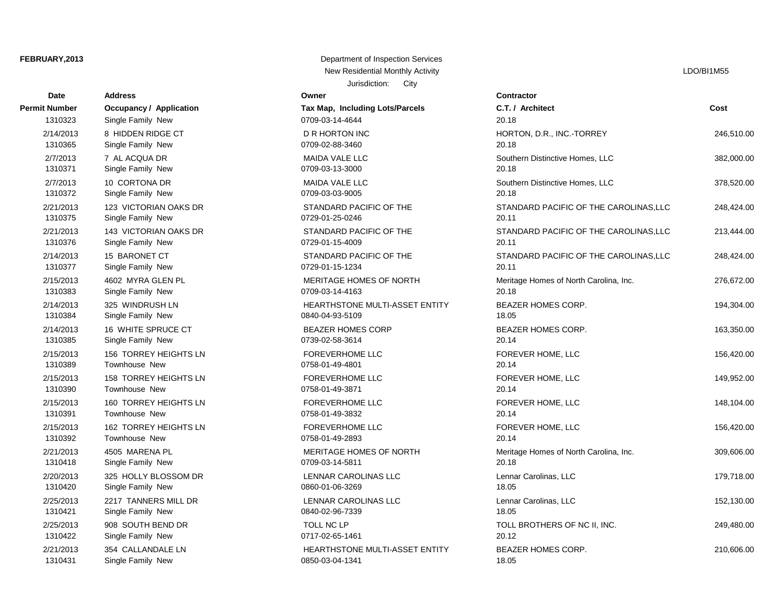| Date          | <b>Address</b>                 | Owner                                 | Contractor      |
|---------------|--------------------------------|---------------------------------------|-----------------|
| Permit Number | <b>Occupancy / Application</b> | Tax Map, Including Lots/Parcels       | C.T. / Arch     |
| 1310323       | Single Family New              | 0709-03-14-4644                       | 20.18           |
| 2/14/2013     | 8 HIDDEN RIDGE CT              | <b>D R HORTON INC</b>                 | HORTON,         |
| 1310365       | Single Family New              | 0709-02-88-3460                       | 20.18           |
| 2/7/2013      | 7 AL ACQUA DR                  | MAIDA VALE LLC                        | Southern D      |
| 1310371       | Single Family New              | 0709-03-13-3000                       | 20.18           |
| 2/7/2013      | 10 CORTONA DR                  | <b>MAIDA VALE LLC</b>                 | Southern D      |
| 1310372       | Single Family New              | 0709-03-03-9005                       | 20.18           |
| 2/21/2013     | 123 VICTORIAN OAKS DR          | STANDARD PACIFIC OF THE               | <b>STANDARI</b> |
| 1310375       | Single Family New              | 0729-01-25-0246                       | 20.11           |
| 2/21/2013     | 143 VICTORIAN OAKS DR          | STANDARD PACIFIC OF THE               | <b>STANDARI</b> |
| 1310376       | Single Family New              | 0729-01-15-4009                       | 20.11           |
| 2/14/2013     | 15 BARONET CT                  | STANDARD PACIFIC OF THE               | <b>STANDARI</b> |
| 1310377       | Single Family New              | 0729-01-15-1234                       | 20.11           |
| 2/15/2013     | 4602 MYRA GLEN PL              | MERITAGE HOMES OF NORTH               | Meritage H      |
| 1310383       | Single Family New              | 0709-03-14-4163                       | 20.18           |
| 2/14/2013     | 325 WINDRUSH LN                | HEARTHSTONE MULTI-ASSET ENTITY        | <b>BEAZER H</b> |
| 1310384       | Single Family New              | 0840-04-93-5109                       | 18.05           |
| 2/14/2013     | 16 WHITE SPRUCE CT             | <b>BEAZER HOMES CORP</b>              | <b>BEAZER H</b> |
| 1310385       | Single Family New              | 0739-02-58-3614                       | 20.14           |
| 2/15/2013     | 156 TORREY HEIGHTS LN          | <b>FOREVERHOME LLC</b>                | <b>FOREVER</b>  |
| 1310389       | Townhouse New                  | 0758-01-49-4801                       | 20.14           |
| 2/15/2013     | <b>158 TORREY HEIGHTS LN</b>   | <b>FOREVERHOME LLC</b>                | <b>FOREVER</b>  |
| 1310390       | Townhouse New                  | 0758-01-49-3871                       | 20.14           |
| 2/15/2013     | 160 TORREY HEIGHTS LN          | <b>FOREVERHOME LLC</b>                | <b>FOREVER</b>  |
| 1310391       | Townhouse New                  | 0758-01-49-3832                       | 20.14           |
| 2/15/2013     | 162 TORREY HEIGHTS LN          | <b>FOREVERHOME LLC</b>                | <b>FOREVER</b>  |
| 1310392       | Townhouse New                  | 0758-01-49-2893                       | 20.14           |
| 2/21/2013     | 4505 MARENA PL                 | MERITAGE HOMES OF NORTH               | Meritage H      |
| 1310418       | Single Family New              | 0709-03-14-5811                       | 20.18           |
| 2/20/2013     | 325 HOLLY BLOSSOM DR           | LENNAR CAROLINAS LLC                  | Lennar Car      |
| 1310420       | Single Family New              | 0860-01-06-3269                       | 18.05           |
| 2/25/2013     | 2217 TANNERS MILL DR           | LENNAR CAROLINAS LLC                  | Lennar Car      |
| 1310421       | Single Family New              | 0840-02-96-7339                       | 18.05           |
| 2/25/2013     | 908 SOUTH BEND DR              | <b>TOLL NC LP</b>                     | <b>TOLL BRO</b> |
| 1310422       | Single Family New              | 0717-02-65-1461                       | 20.12           |
| 2/21/2013     | 354 CALLANDALE LN              | <b>HEARTHSTONE MULTI-ASSET ENTITY</b> | <b>BEAZER H</b> |
| 1310431       | Single Family New              | 0850-03-04-1341                       | 18.05           |

**FEBRUARY, 2013** Department of Inspection Services New Residential Monthly Activity Later and Activity LDO/BI1M55

Jurisdiction: City

**Permit Number Occupancy / Application Tax Map, Including Lots/Parcels C.T. / Architect Cost** 2/14/2013 8 HIDDEN RIDGE CT D R HORTON INC HORTON, D.R., INC.-TORREY 246,510.00 MAIDA VALE LLC **2000.00** 282,000.00 MAIDA VALE LLC **2003** 2013 2014 10 Couthern Distinctive Homes, LLC 378,520.00 2/21/2013 123 VICTORIAN OAKS DR STANDARD PACIFIC OF THE STANDARD PACIFIC OF THE CAROLINAS,LLC 248,424.00 STANDARD PACIFIC OF THE STANDARD PACIFIC OF THE CAROLINAS, LLC 213,444.00 STANDARD PACIFIC OF THE STANDARD PACIFIC OF THE CAROLINAS, LLC 248,424.00 MERITAGE HOMES OF NORTH Meritage Homes of North Carolina, Inc. 276,672.00 124,304.00 BEAZER HOMES CORP. 194,304.00 BEAZER HOMES CORP. 2/163,350.00 BEAZER HOMES CORP BEAZER HOMES CORP. POREVERHOME LLC TOREVER HOME, LLC TOREVER HOME, LLC 2/15/2013 158 TORREY HEIGHTS LN FOREVERHOME LLC FOREVER HOME, LLC 149,952.00 POREVERHOME LLC TORREVER HOME, LLC TOREVER HOME, LLC 2/15/2013 162 TORREY HEIGHTS LN FOREVERHOME LLC FOREVER HOME, LLC 156,420.00 MERITAGE HOMES OF NORTH Meritage Homes of North Carolina, Inc. 309,606.00 2/20/2013 325 HOLLY BLOSSOM DR LENNAR CAROLINAS LLC Lennar Carolinas, LLC 179,718.00 2/252,130.00 Lennar Carolinas, LLC 2013 22,130.00 Lennar Carolinas, LLC 2/25/2013 908 SOUTH BEND DR TOLL NC LP TOLL BROTHERS OF NC II, INC. 249,480.00 2/21/2013 354 CALLANDALE LN HEARTHSTONE MULTI-ASSET ENTITY BEAZER HOMES CORP. 210,606.00